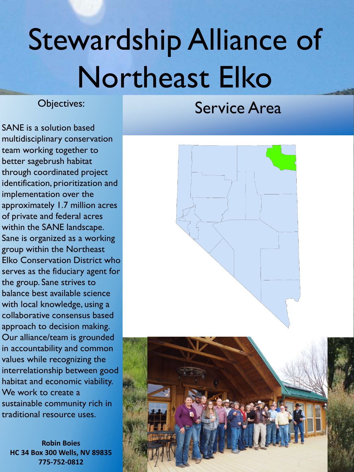# Stewardship Alliance of Northeast Elko

Objectives:

Service Area

SANE is a solution based multidisciplinary conservation team working together to better sagebrush habitat through coordinated project identification, prioritization and implementation over the approximately 1.7 million acres of private and federal acres within the SANE landscape. Sane is organized as a working group within the Northeast Elko Conservation District who serves as the fiduciary agent for the group. Sane strives to balance best available science with local knowledge, using a collaborative consensus based approach to decision making. Our alliance/team is grounded in accountability and common values while recognizing the interrelationship between good habitat and economic viability. We work to create a sustainable community rich in traditional resource uses.

**Robin Boies HC 34 Box 300 Wells, NV 89835 775-752-0812**



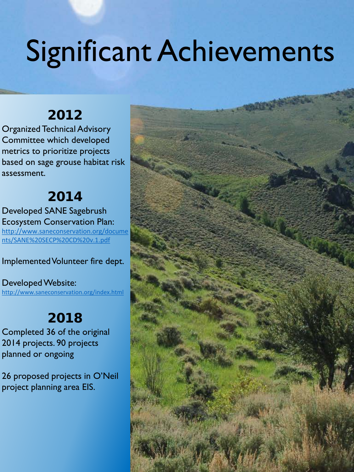# Significant Achievements

### 2012

Organized Technical Advisory Committee which developed metrics to prioritize projects based on sage grouse habitat risk assessment.

#### 2014

Developed SANE Sagebrush Ecosystem Conservation Plan: [http://www.saneconservation.org/docume](http://www.saneconservation.org/documents/SANE%20SECP%20CD%20v.1.pdf) nts/SANE%20SECP%20CD%20v.1.pdf

Implemented Volunteer fire dept.

Developed Website: <http://www.saneconservation.org/index.html>

### 2018

Completed 36 of the original 2014 projects. 90 projects planned or ongoing

26 proposed projects in O'Neil project planning area EIS.

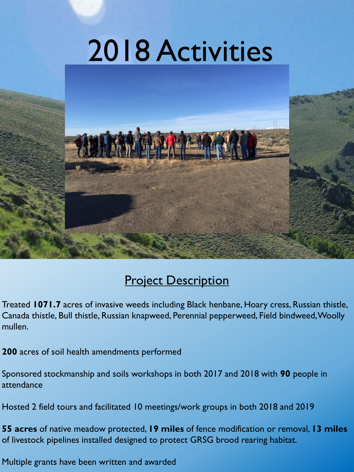# 2018 Activities



#### **Project Description**

Treated **1071.7** acres of invasive weeds including Black henbane, Hoary cress, Russian thistle, Canada thistle, Bull thistle, Russian knapweed, Perennial pepperweed, Field bindweed, Woolly mullen.

**200** acres of soil health amendments performed

Sponsored stockmanship and soils workshops in both 2017 and 2018 with **90** people in attendance

Hosted 2 field tours and facilitated 10 meetings/work groups in both 2018 and 2019

**55 acres** of native meadow protected, **19 miles** of fence modification or removal, **13 miles** of livestock pipelines installed designed to protect GRSG brood rearing habitat.

Multiple grants have been written and awarded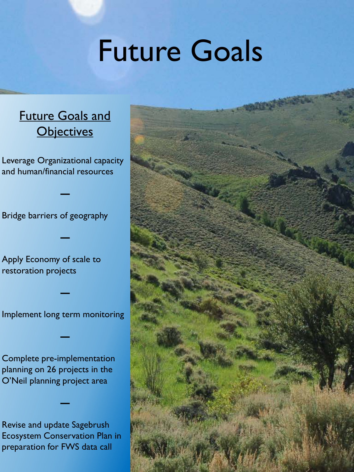### Future Goals

#### **Future Goals and Objectives**

Leverage Organizational capacity and human/financial resources

**—**

**—**

Bridge barriers of geography

Apply Economy of scale to restoration projects

Implement long term monitoring

**—**

**—**

Complete pre-implementation planning on 26 projects in the O'Neil planning project area

Revise and update Sagebrush Ecosystem Conservation Plan in preparation for FWS data call

**—**